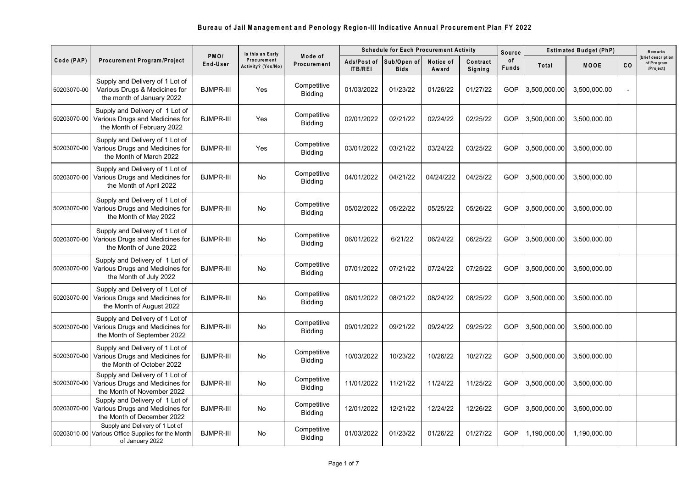## **Bureau of Jail Managem ent and Penology Region-III Indicative Annual Procurem ent Plan FY 2022**

|              |                                                                                                   |                               | Is this an Early                  |                               | <b>Schedule for Each Procurement Activity</b> |                            |                    |                     | <b>Source</b> | <b>Estimated Budget (PhP)</b> |              |     | Remarks                                      |
|--------------|---------------------------------------------------------------------------------------------------|-------------------------------|-----------------------------------|-------------------------------|-----------------------------------------------|----------------------------|--------------------|---------------------|---------------|-------------------------------|--------------|-----|----------------------------------------------|
| Code (PAP)   | Procurement Program/Project                                                                       | PM <sub>O</sub> /<br>End-User | Procurement<br>Activity? (Yes/No) | Mode of<br>Procurement        | Ads/Post of<br><b>ITB/REI</b>                 | Sub/Open of<br><b>Bids</b> | Notice of<br>Award | Contract<br>Signing | of<br>Funds   | Total                         | <b>MOOE</b>  | CO. | brief description<br>of Program<br>/Project) |
| 50203070-00  | Supply and Delivery of 1 Lot of<br>Various Drugs & Medicines for<br>the month of January 2022     | <b>BJMPR-III</b>              | Yes                               | Competitive<br><b>Bidding</b> | 01/03/2022                                    | 01/23/22                   | 01/26/22           | 01/27/22            | GOP           | 3,500,000.00                  | 3,500,000.00 |     |                                              |
| 50203070-00  | Supply and Delivery of 1 Lot of<br>Various Drugs and Medicines for<br>the Month of February 2022  | <b>BJMPR-III</b>              | Yes                               | Competitive<br><b>Bidding</b> | 02/01/2022                                    | 02/21/22                   | 02/24/22           | 02/25/22            | GOP           | 3,500,000.00                  | 3,500,000.00 |     |                                              |
| 50203070-00  | Supply and Delivery of 1 Lot of<br>Various Drugs and Medicines for<br>the Month of March 2022     | <b>BJMPR-III</b>              | Yes                               | Competitive<br><b>Bidding</b> | 03/01/2022                                    | 03/21/22                   | 03/24/22           | 03/25/22            | GOP           | 3,500,000.00                  | 3,500,000.00 |     |                                              |
| 50203070-00  | Supply and Delivery of 1 Lot of<br>Various Drugs and Medicines for<br>the Month of April 2022     | <b>BJMPR-III</b>              | No                                | Competitive<br><b>Bidding</b> | 04/01/2022                                    | 04/21/22                   | 04/24/222          | 04/25/22            | GOP           | 3,500,000.00                  | 3,500,000.00 |     |                                              |
| 50203070-001 | Supply and Delivery of 1 Lot of<br>Various Drugs and Medicines for<br>the Month of May 2022       | <b>BJMPR-III</b>              | No                                | Competitive<br><b>Bidding</b> | 05/02/2022                                    | 05/22/22                   | 05/25/22           | 05/26/22            | GOP           | 3,500,000.00                  | 3,500,000.00 |     |                                              |
| 50203070-00  | Supply and Delivery of 1 Lot of<br>Various Drugs and Medicines for<br>the Month of June 2022      | <b>BJMPR-III</b>              | No                                | Competitive<br><b>Bidding</b> | 06/01/2022                                    | 6/21/22                    | 06/24/22           | 06/25/22            | GOP           | 3,500,000.00                  | 3,500,000.00 |     |                                              |
| 50203070-00  | Supply and Delivery of 1 Lot of<br>Various Drugs and Medicines for<br>the Month of July 2022      | <b>BJMPR-III</b>              | No                                | Competitive<br><b>Bidding</b> | 07/01/2022                                    | 07/21/22                   | 07/24/22           | 07/25/22            | GOP           | 3,500,000.00                  | 3,500,000.00 |     |                                              |
| 50203070-00  | Supply and Delivery of 1 Lot of<br>Various Drugs and Medicines for<br>the Month of August 2022    | <b>BJMPR-III</b>              | No                                | Competitive<br><b>Bidding</b> | 08/01/2022                                    | 08/21/22                   | 08/24/22           | 08/25/22            | GOP           | 3,500,000.00                  | 3,500,000.00 |     |                                              |
| 50203070-00  | Supply and Delivery of 1 Lot of<br>Various Drugs and Medicines for<br>the Month of September 2022 | <b>BJMPR-III</b>              | No                                | Competitive<br><b>Bidding</b> | 09/01/2022                                    | 09/21/22                   | 09/24/22           | 09/25/22            | GOP           | 3,500,000.00                  | 3,500,000.00 |     |                                              |
| 50203070-00  | Supply and Delivery of 1 Lot of<br>Various Drugs and Medicines for<br>the Month of October 2022   | <b>BJMPR-III</b>              | No                                | Competitive<br><b>Bidding</b> | 10/03/2022                                    | 10/23/22                   | 10/26/22           | 10/27/22            | GOP           | 3,500,000.00                  | 3,500,000.00 |     |                                              |
| 50203070-00  | Supply and Delivery of 1 Lot of<br>Various Drugs and Medicines for<br>the Month of November 2022  | <b>BJMPR-III</b>              | No                                | Competitive<br><b>Bidding</b> | 11/01/2022                                    | 11/21/22                   | 11/24/22           | 11/25/22            | GOP           | 3,500,000.00                  | 3,500,000.00 |     |                                              |
| 50203070-00  | Supply and Delivery of 1 Lot of<br>Various Drugs and Medicines for<br>the Month of December 2022  | <b>BJMPR-III</b>              | No                                | Competitive<br><b>Bidding</b> | 12/01/2022                                    | 12/21/22                   | 12/24/22           | 12/26/22            | GOP           | 3,500,000.00                  | 3,500,000.00 |     |                                              |
| 50203010-00  | Supply and Delivery of 1 Lot of<br>Various Office Supplies for the Month<br>of January 2022       | <b>BJMPR-III</b>              | No                                | Competitive<br><b>Bidding</b> | 01/03/2022                                    | 01/23/22                   | 01/26/22           | 01/27/22            | GOP           | 1,190,000.00                  | 1,190,000.00 |     |                                              |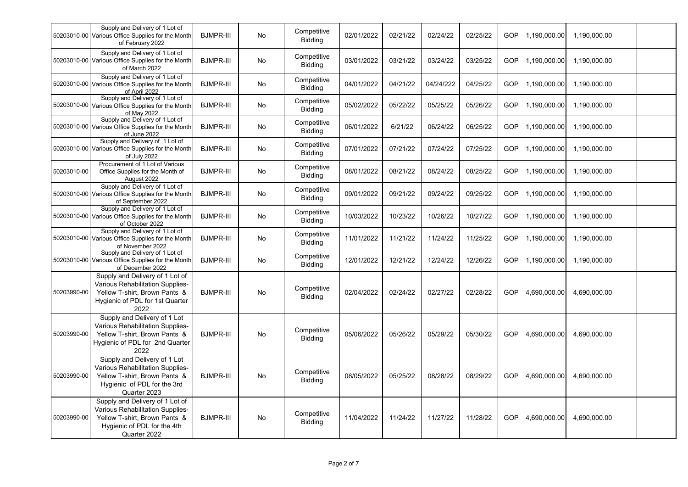|             | Supply and Delivery of 1 Lot of<br>50203010-00 Various Office Supplies for the Month<br>of February 2022                                            | <b>BJMPR-III</b> | <b>No</b> | Competitive<br><b>Bidding</b> | 02/01/2022 | 02/21/22 | 02/24/22  | 02/25/22 | GOP | 1,190,000.00 | 1.190.000.00 |  |
|-------------|-----------------------------------------------------------------------------------------------------------------------------------------------------|------------------|-----------|-------------------------------|------------|----------|-----------|----------|-----|--------------|--------------|--|
|             | Supply and Delivery of 1 Lot of<br>50203010-00 Various Office Supplies for the Month<br>of March 2022                                               | <b>BJMPR-III</b> | No        | Competitive<br><b>Bidding</b> | 03/01/2022 | 03/21/22 | 03/24/22  | 03/25/22 | GOP | 1,190,000.00 | 1,190,000.00 |  |
|             | Supply and Delivery of 1 Lot of<br>50203010-00 Various Office Supplies for the Month<br>of April 2022                                               | <b>BJMPR-III</b> | No        | Competitive<br><b>Bidding</b> | 04/01/2022 | 04/21/22 | 04/24/222 | 04/25/22 | GOP | 1,190,000.00 | 1,190,000.00 |  |
|             | Supply and Delivery of 1 Lot of<br>50203010-00 Various Office Supplies for the Month<br>of May 2022                                                 | <b>BJMPR-III</b> | No        | Competitive<br><b>Bidding</b> | 05/02/2022 | 05/22/22 | 05/25/22  | 05/26/22 | GOP | 1,190,000.00 | 1,190,000.00 |  |
|             | Supply and Delivery of 1 Lot of<br>50203010-00 Various Office Supplies for the Month<br>of June 2022                                                | <b>BJMPR-III</b> | No        | Competitive<br>Bidding        | 06/01/2022 | 6/21/22  | 06/24/22  | 06/25/22 | GOP | 1,190,000.00 | 1,190,000.00 |  |
|             | Supply and Delivery of 1 Lot of<br>50203010-00 Various Office Supplies for the Month<br>of July 2022                                                | <b>BJMPR-III</b> | No        | Competitive<br><b>Bidding</b> | 07/01/2022 | 07/21/22 | 07/24/22  | 07/25/22 | GOP | 1,190,000.00 | 1,190,000.00 |  |
| 50203010-00 | Procurement of 1 Lot of Various<br>Office Supplies for the Month of<br>August 2022                                                                  | <b>BJMPR-III</b> | No        | Competitive<br>Bidding        | 08/01/2022 | 08/21/22 | 08/24/22  | 08/25/22 | GOP | 1,190,000.00 | 1,190,000.00 |  |
|             | Supply and Delivery of 1 Lot of<br>50203010-00 Various Office Supplies for the Month<br>of September 2022                                           | <b>BJMPR-III</b> | No        | Competitive<br><b>Bidding</b> | 09/01/2022 | 09/21/22 | 09/24/22  | 09/25/22 | GOP | 1,190,000.00 | 1,190,000.00 |  |
|             | Supply and Delivery of 1 Lot of<br>50203010-00 Various Office Supplies for the Month<br>of October 2022                                             | <b>BJMPR-III</b> | No        | Competitive<br><b>Bidding</b> | 10/03/2022 | 10/23/22 | 10/26/22  | 10/27/22 | GOP | 1,190,000.00 | 1,190,000.00 |  |
|             | Supply and Delivery of 1 Lot of<br>50203010-00 Various Office Supplies for the Month<br>of November 2022                                            | <b>BJMPR-III</b> | <b>No</b> | Competitive<br><b>Bidding</b> | 11/01/2022 | 11/21/22 | 11/24/22  | 11/25/22 | GOP | 1,190,000.00 | 1,190,000.00 |  |
|             | Supply and Delivery of 1 Lot of<br>50203010-00 Various Office Supplies for the Month<br>of December 2022                                            | <b>BJMPR-III</b> | No        | Competitive<br><b>Bidding</b> | 12/01/2022 | 12/21/22 | 12/24/22  | 12/26/22 | GOP | 1,190,000.00 | 1,190,000.00 |  |
| 50203990-00 | Supply and Delivery of 1 Lot of<br>Various Rehabilitation Supplies-<br>Yellow T-shirt, Brown Pants &<br>Hygienic of PDL for 1st Quarter<br>2022     | <b>BJMPR-III</b> | <b>No</b> | Competitive<br><b>Bidding</b> | 02/04/2022 | 02/24/22 | 02/27/22  | 02/28/22 | GOP | 4,690,000.00 | 4.690.000.00 |  |
| 50203990-00 | Supply and Delivery of 1 Lot<br>Various Rehabilitation Supplies-<br>Yellow T-shirt, Brown Pants &<br>Hygienic of PDL for 2nd Quarter<br>2022        | <b>BJMPR-III</b> | No        | Competitive<br><b>Bidding</b> | 05/06/2022 | 05/26/22 | 05/29/22  | 05/30/22 | GOP | 4,690,000.00 | 4,690,000.00 |  |
| 50203990-00 | Supply and Delivery of 1 Lot<br>Various Rehabilitation Supplies-<br>Yellow T-shirt, Brown Pants &<br>Hygienic of PDL for the 3rd<br>Quarter 2023    | <b>BJMPR-III</b> | No        | Competitive<br><b>Bidding</b> | 08/05/2022 | 05/25/22 | 08/28/22  | 08/29/22 | GOP | 4,690,000.00 | 4,690,000.00 |  |
| 50203990-00 | Supply and Delivery of 1 Lot of<br>Various Rehabilitation Supplies-<br>Yellow T-shirt, Brown Pants &<br>Hygienic of PDL for the 4th<br>Quarter 2022 | <b>BJMPR-III</b> | <b>No</b> | Competitive<br><b>Bidding</b> | 11/04/2022 | 11/24/22 | 11/27/22  | 11/28/22 | GOP | 4.690.000.00 | 4.690.000.00 |  |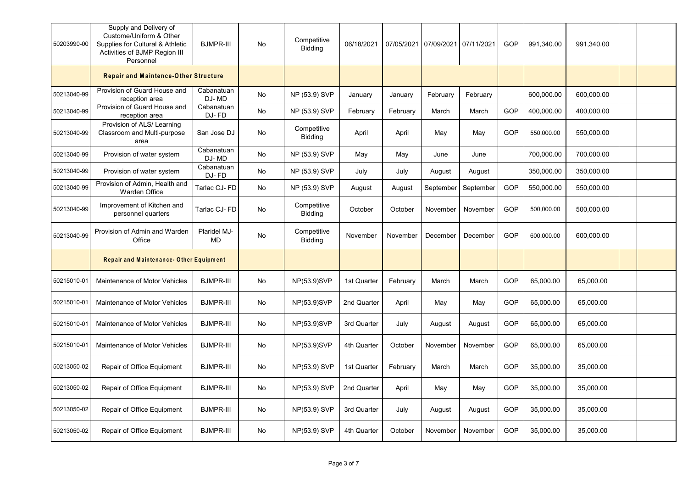| 50203990-00 | Supply and Delivery of<br>Custome/Uniform & Other<br>Supplies for Cultural & Athletic<br>Activities of BJMP Region III<br>Personnel | <b>BJMPR-III</b>          | No | Competitive<br><b>Bidding</b> | 06/18/2021  |          | 07/05/2021 07/09/2021 07/11/2021 |           | GOP | 991,340.00 | 991,340.00 |  |  |
|-------------|-------------------------------------------------------------------------------------------------------------------------------------|---------------------------|----|-------------------------------|-------------|----------|----------------------------------|-----------|-----|------------|------------|--|--|
|             | <b>Repair and Maintence-Other Structure</b>                                                                                         |                           |    |                               |             |          |                                  |           |     |            |            |  |  |
| 50213040-99 | Provision of Guard House and<br>reception area                                                                                      | Cabanatuan<br>DJ-MD       | No | NP (53.9) SVP                 | January     | January  | February                         | February  |     | 600,000.00 | 600,000.00 |  |  |
| 50213040-99 | Provision of Guard House and<br>reception area                                                                                      | Cabanatuan<br>DJ-FD       | No | NP (53.9) SVP                 | February    | February | March                            | March     | GOP | 400,000.00 | 400,000.00 |  |  |
| 50213040-99 | Provision of ALS/ Learning<br>Classroom and Multi-purpose<br>area                                                                   | San Jose DJ               | No | Competitive<br><b>Bidding</b> | April       | April    | May                              | May       | GOP | 550,000.00 | 550,000.00 |  |  |
| 50213040-99 | Provision of water system                                                                                                           | Cabanatuan<br>DJ-MD       | No | NP (53.9) SVP                 | May         | May      | June                             | June      |     | 700,000.00 | 700,000.00 |  |  |
| 50213040-99 | Provision of water system                                                                                                           | Cabanatuan<br>DJ-FD       | No | NP (53.9) SVP                 | July        | July     | August                           | August    |     | 350,000.00 | 350,000.00 |  |  |
| 50213040-99 | Provision of Admin, Health and<br>Warden Office                                                                                     | Tarlac CJ- FD             | No | NP (53.9) SVP                 | August      | August   | September                        | September | GOP | 550,000.00 | 550,000.00 |  |  |
| 50213040-99 | Improvement of Kitchen and<br>personnel quarters                                                                                    | Tarlac CJ-FD              | No | Competitive<br><b>Bidding</b> | October     | October  | November                         | November  | GOP | 500,000.00 | 500,000.00 |  |  |
| 50213040-99 | Provision of Admin and Warden<br>Office                                                                                             | Plaridel MJ-<br><b>MD</b> | No | Competitive<br><b>Bidding</b> | November    | November | December                         | December  | GOP | 600,000.00 | 600,000.00 |  |  |
|             | Repair and Maintenance-Other Equipment                                                                                              |                           |    |                               |             |          |                                  |           |     |            |            |  |  |
| 50215010-01 | Maintenance of Motor Vehicles                                                                                                       | <b>BJMPR-III</b>          | No | NP(53.9)SVP                   | 1st Quarter | February | March                            | March     | GOP | 65,000.00  | 65,000.00  |  |  |
| 50215010-01 | Maintenance of Motor Vehicles                                                                                                       | <b>BJMPR-III</b>          | No | NP(53.9)SVP                   | 2nd Quarter | April    | May                              | May       | GOP | 65,000.00  | 65,000.00  |  |  |
| 50215010-01 | Maintenance of Motor Vehicles                                                                                                       | <b>BJMPR-III</b>          | No | NP(53.9)SVP                   | 3rd Quarter | July     | August                           | August    | GOP | 65,000.00  | 65,000.00  |  |  |
| 50215010-01 | Maintenance of Motor Vehicles                                                                                                       | <b>BJMPR-III</b>          | No | NP(53.9)SVP                   | 4th Quarter | October  | November                         | November  | GOP | 65,000.00  | 65,000.00  |  |  |
| 50213050-02 | Repair of Office Equipment                                                                                                          | <b>BJMPR-III</b>          | No | NP(53.9) SVP                  | 1st Quarter | February | March                            | March     | GOP | 35,000.00  | 35,000.00  |  |  |
| 50213050-02 | Repair of Office Equipment                                                                                                          | <b>BJMPR-III</b>          | No | NP(53.9) SVP                  | 2nd Quarter | April    | May                              | May       | GOP | 35,000.00  | 35,000.00  |  |  |
| 50213050-02 | Repair of Office Equipment                                                                                                          | <b>BJMPR-III</b>          | No | NP(53.9) SVP                  | 3rd Quarter | July     | August                           | August    | GOP | 35,000.00  | 35,000.00  |  |  |
| 50213050-02 | Repair of Office Equipment                                                                                                          | <b>BJMPR-III</b>          | No | NP(53.9) SVP                  | 4th Quarter | October  | November                         | November  | GOP | 35,000.00  | 35,000.00  |  |  |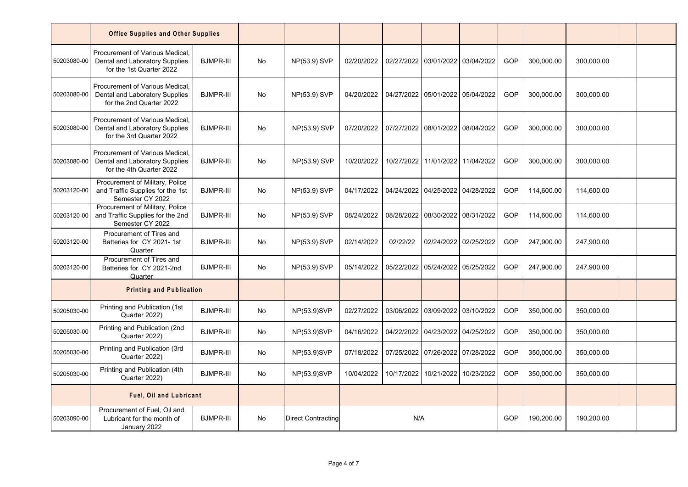|             | <b>Office Supplies and Other Supplies</b>                                                    |                  |    |                           |            |            |                                  |                       |     |            |            |  |
|-------------|----------------------------------------------------------------------------------------------|------------------|----|---------------------------|------------|------------|----------------------------------|-----------------------|-----|------------|------------|--|
| 50203080-00 | Procurement of Various Medical<br>Dental and Laboratory Supplies<br>for the 1st Quarter 2022 | <b>BJMPR-III</b> | No | NP(53.9) SVP              | 02/20/2022 |            | 02/27/2022 03/01/2022 03/04/2022 |                       | GOP | 300,000.00 | 300,000.00 |  |
| 50203080-00 | Procurement of Various Medical<br>Dental and Laboratory Supplies<br>for the 2nd Quarter 2022 | <b>BJMPR-III</b> | No | NP(53.9) SVP              | 04/20/2022 |            | 04/27/2022 05/01/2022            | 05/04/2022            | GOP | 300,000.00 | 300,000.00 |  |
| 50203080-00 | Procurement of Various Medical<br>Dental and Laboratory Supplies<br>for the 3rd Quarter 2022 | <b>BJMPR-III</b> | No | NP(53.9) SVP              | 07/20/2022 |            | 07/27/2022 08/01/2022 08/04/2022 |                       | GOP | 300,000.00 | 300,000.00 |  |
| 50203080-00 | Procurement of Various Medical<br>Dental and Laboratory Supplies<br>for the 4th Quarter 2022 | <b>BJMPR-III</b> | No | NP(53.9) SVP              | 10/20/2022 | 10/27/2022 | 11/01/2022 11/04/2022            |                       | GOP | 300,000.00 | 300,000.00 |  |
| 50203120-00 | Procurement of Military, Police<br>and Traffic Supplies for the 1st<br>Semester CY 2022      | <b>BJMPR-III</b> | No | NP(53.9) SVP              | 04/17/2022 | 04/24/2022 | 04/25/2022 04/28/2022            |                       | GOP | 114,600.00 | 114,600.00 |  |
| 50203120-00 | Procurement of Military, Police<br>and Traffic Supplies for the 2nd<br>Semester CY 2022      | <b>BJMPR-III</b> | No | NP(53.9) SVP              | 08/24/2022 | 08/28/2022 | 08/30/2022 08/31/2022            |                       | GOP | 114,600.00 | 114,600.00 |  |
| 50203120-00 | Procurement of Tires and<br>Batteries for CY 2021-1st<br>Quarter                             | <b>BJMPR-III</b> | No | NP(53.9) SVP              | 02/14/2022 | 02/22/22   |                                  | 02/24/2022 02/25/2022 | GOP | 247,900.00 | 247,900.00 |  |
| 50203120-00 | Procurement of Tires and<br>Batteries for CY 2021-2nd<br>Quarter                             | <b>BJMPR-III</b> | No | NP(53.9) SVP              | 05/14/2022 | 05/22/2022 | 05/24/2022                       | 05/25/2022            | GOP | 247,900.00 | 247,900.00 |  |
|             | <b>Printing and Publication</b>                                                              |                  |    |                           |            |            |                                  |                       |     |            |            |  |
| 50205030-00 | Printing and Publication (1st<br>Quarter 2022)                                               | <b>BJMPR-III</b> | No | NP(53.9)SVP               | 02/27/2022 | 03/06/2022 | 03/09/2022 03/10/2022            |                       | GOP | 350,000.00 | 350,000.00 |  |
| 50205030-00 | Printing and Publication (2nd<br>Quarter 2022)                                               | <b>BJMPR-III</b> | No | NP(53.9)SVP               | 04/16/2022 | 04/22/2022 | 04/23/2022 04/25/2022            |                       | GOP | 350,000.00 | 350,000.00 |  |
| 50205030-00 | Printing and Publication (3rd<br>Quarter 2022)                                               | <b>BJMPR-III</b> | No | NP(53.9)SVP               | 07/18/2022 | 07/25/2022 | 07/26/2022 07/28/2022            |                       | GOP | 350,000.00 | 350,000.00 |  |
| 50205030-00 | Printing and Publication (4th<br>Quarter 2022)                                               | <b>BJMPR-III</b> | No | NP(53.9)SVP               | 10/04/2022 | 10/17/2022 | 10/21/2022                       | 10/23/2022            | GOP | 350,000.00 | 350,000.00 |  |
|             | <b>Fuel, Oil and Lubricant</b>                                                               |                  |    |                           |            |            |                                  |                       |     |            |            |  |
| 50203090-00 | Procurement of Fuel. Oil and<br>Lubricant for the month of<br>January 2022                   | <b>BJMPR-III</b> | No | <b>Direct Contracting</b> |            | N/A        |                                  |                       | GOP | 190,200.00 | 190,200.00 |  |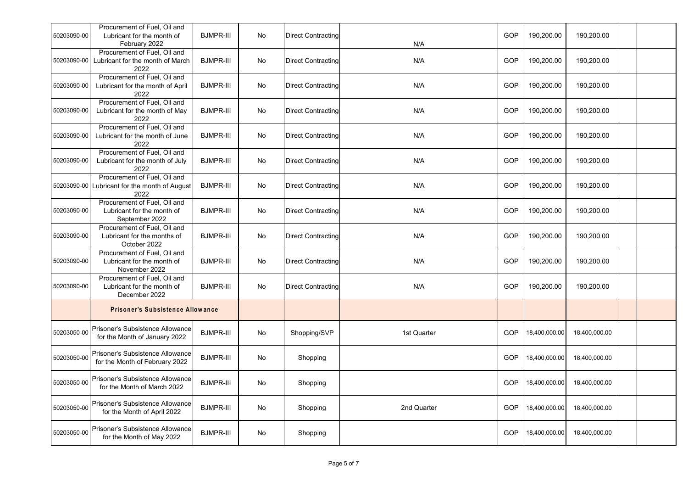| 50203090-00 | Procurement of Fuel, Oil and<br>Lubricant for the month of<br>February 2022           | <b>BJMPR-III</b> | No                           | <b>Direct Contracting</b> | N/A         | GOP | 190,200.00    | 190,200.00    |  |  |
|-------------|---------------------------------------------------------------------------------------|------------------|------------------------------|---------------------------|-------------|-----|---------------|---------------|--|--|
| 50203090-00 | Procurement of Fuel, Oil and<br>Lubricant for the month of March<br>2022              | <b>BJMPR-III</b> | No                           | <b>Direct Contracting</b> | N/A         | GOP | 190,200.00    | 190,200.00    |  |  |
| 50203090-00 | Procurement of Fuel, Oil and<br>Lubricant for the month of April<br>2022              | <b>BJMPR-III</b> | $\operatorname{\mathsf{No}}$ | <b>Direct Contracting</b> | N/A         | GOP | 190,200.00    | 190,200.00    |  |  |
| 50203090-00 | Procurement of Fuel, Oil and<br>Lubricant for the month of May<br>2022                | <b>BJMPR-III</b> | No                           | <b>Direct Contracting</b> | N/A         | GOP | 190,200.00    | 190,200.00    |  |  |
| 50203090-00 | Procurement of Fuel, Oil and<br>Lubricant for the month of June<br>2022               | <b>BJMPR-III</b> | No                           | <b>Direct Contracting</b> | N/A         | GOP | 190,200.00    | 190,200.00    |  |  |
| 50203090-00 | Procurement of Fuel, Oil and<br>Lubricant for the month of July<br>2022               | <b>BJMPR-III</b> | No                           | <b>Direct Contracting</b> | N/A         | GOP | 190,200.00    | 190,200.00    |  |  |
|             | Procurement of Fuel, Oil and<br>50203090-00 Lubricant for the month of August<br>2022 | <b>BJMPR-III</b> | No                           | <b>Direct Contracting</b> | N/A         | GOP | 190,200.00    | 190,200.00    |  |  |
| 50203090-00 | Procurement of Fuel, Oil and<br>Lubricant for the month of<br>September 2022          | <b>BJMPR-III</b> | No                           | <b>Direct Contracting</b> | N/A         | GOP | 190,200.00    | 190,200.00    |  |  |
| 50203090-00 | Procurement of Fuel, Oil and<br>Lubricant for the months of<br>October 2022           | <b>BJMPR-III</b> | No                           | <b>Direct Contracting</b> | N/A         | GOP | 190,200.00    | 190,200.00    |  |  |
| 50203090-00 | Procurement of Fuel, Oil and<br>Lubricant for the month of<br>November 2022           | <b>BJMPR-III</b> | No                           | <b>Direct Contracting</b> | N/A         | GOP | 190,200.00    | 190,200.00    |  |  |
| 50203090-00 | Procurement of Fuel, Oil and<br>Lubricant for the month of<br>December 2022           | <b>BJMPR-III</b> | $\operatorname{\mathsf{No}}$ | <b>Direct Contracting</b> | N/A         | GOP | 190,200.00    | 190,200.00    |  |  |
|             | <b>Prisoner's Subsistence Allowance</b>                                               |                  |                              |                           |             |     |               |               |  |  |
| 50203050-00 | Prisoner's Subsistence Allowance<br>for the Month of January 2022                     | <b>BJMPR-III</b> | No                           | Shopping/SVP              | 1st Quarter | GOP | 18,400,000.00 | 18,400,000.00 |  |  |
| 50203050-00 | Prisoner's Subsistence Allowance<br>for the Month of February 2022                    | <b>BJMPR-III</b> | No                           | Shopping                  |             | GOP | 18,400,000.00 | 18,400,000.00 |  |  |
| 50203050-00 | Prisoner's Subsistence Allowance<br>for the Month of March 2022                       | <b>BJMPR-III</b> | No                           | Shopping                  |             | GOP | 18,400,000.00 | 18,400,000.00 |  |  |
| 50203050-00 | Prisoner's Subsistence Allowance<br>for the Month of April 2022                       | <b>BJMPR-III</b> | No                           | Shopping                  | 2nd Quarter | GOP | 18,400,000.00 | 18,400,000.00 |  |  |
| 50203050-00 | Prisoner's Subsistence Allowance<br>for the Month of May 2022                         | <b>BJMPR-III</b> | No                           | Shopping                  |             | GOP | 18,400,000.00 | 18,400,000.00 |  |  |
|             |                                                                                       |                  |                              |                           |             |     |               |               |  |  |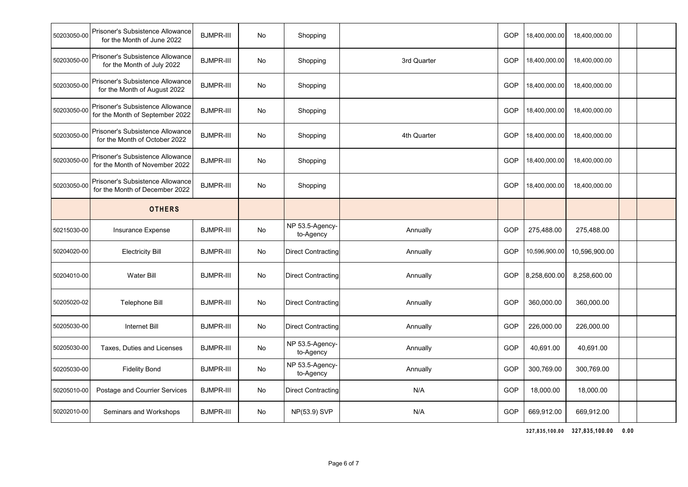| 50203050-00 | Prisoner's Subsistence Allowance<br>for the Month of June 2022      | <b>BJMPR-III</b> | No | Shopping                     |             | GOP | 18,400,000.00 | 18,400,000.00 |  |
|-------------|---------------------------------------------------------------------|------------------|----|------------------------------|-------------|-----|---------------|---------------|--|
| 50203050-00 | Prisoner's Subsistence Allowance<br>for the Month of July 2022      | <b>BJMPR-III</b> | No | Shopping                     | 3rd Quarter | GOP | 18,400,000.00 | 18,400,000.00 |  |
| 50203050-00 | Prisoner's Subsistence Allowance<br>for the Month of August 2022    | <b>BJMPR-III</b> | No | Shopping                     |             | GOP | 18,400,000.00 | 18,400,000.00 |  |
| 50203050-00 | Prisoner's Subsistence Allowance<br>for the Month of September 2022 | <b>BJMPR-III</b> | No | Shopping                     |             | GOP | 18,400,000.00 | 18,400,000.00 |  |
| 50203050-00 | Prisoner's Subsistence Allowance<br>for the Month of October 2022   | <b>BJMPR-III</b> | No | Shopping                     | 4th Quarter | GOP | 18,400,000.00 | 18,400,000.00 |  |
| 50203050-00 | Prisoner's Subsistence Allowance<br>for the Month of November 2022  | <b>BJMPR-III</b> | No | Shopping                     |             | GOP | 18,400,000.00 | 18,400,000.00 |  |
| 50203050-00 | Prisoner's Subsistence Allowance<br>for the Month of December 2022  | <b>BJMPR-III</b> | No | Shopping                     |             | GOP | 18,400,000.00 | 18,400,000.00 |  |
|             | <b>OTHERS</b>                                                       |                  |    |                              |             |     |               |               |  |
| 50215030-00 | Insurance Expense                                                   | <b>BJMPR-III</b> | No | NP 53.5-Agency-<br>to-Agency | Annually    | GOP | 275,488.00    | 275,488.00    |  |
| 50204020-00 | <b>Electricity Bill</b>                                             | <b>BJMPR-III</b> | No | <b>Direct Contracting</b>    | Annually    | GOP | 10,596,900.00 | 10,596,900.00 |  |
| 50204010-00 | <b>Water Bill</b>                                                   | <b>BJMPR-III</b> | No | <b>Direct Contracting</b>    | Annually    | GOP | 8,258,600.00  | 8,258,600.00  |  |
| 50205020-02 | Telephone Bill                                                      | <b>BJMPR-III</b> | No | <b>Direct Contracting</b>    | Annually    | GOP | 360,000.00    | 360,000.00    |  |
| 50205030-00 | <b>Internet Bill</b>                                                | <b>BJMPR-III</b> | No | Direct Contracting           | Annually    | GOP | 226,000.00    | 226,000.00    |  |
| 50205030-00 | Taxes, Duties and Licenses                                          | <b>BJMPR-III</b> | No | NP 53.5-Agency-<br>to-Agency | Annually    | GOP | 40,691.00     | 40,691.00     |  |
| 50205030-00 | <b>Fidelity Bond</b>                                                | <b>BJMPR-III</b> | No | NP 53.5-Agency-<br>to-Agency | Annually    | GOP | 300,769.00    | 300,769.00    |  |
| 50205010-00 | Postage and Courrier Services                                       | <b>BJMPR-III</b> | No | <b>Direct Contracting</b>    | N/A         | GOP | 18,000.00     | 18,000.00     |  |
| 50202010-00 | Seminars and Workshops                                              | <b>BJMPR-III</b> | No | NP(53.9) SVP                 | N/A         | GOP | 669,912.00    | 669,912.00    |  |
|             |                                                                     |                  |    |                              |             |     |               |               |  |

**327,835,100.00 327,835,100.00 0.00**